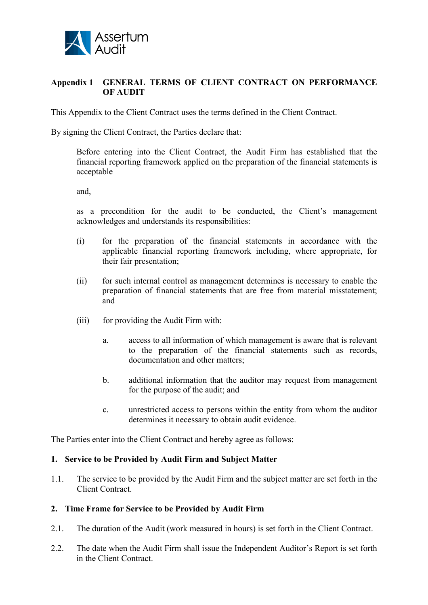

## **Appendix 1 GENERAL TERMS OF CLIENT CONTRACT ON PERFORMANCE OF AUDIT**

This Appendix to the Client Contract uses the terms defined in the Client Contract.

By signing the Client Contract, the Parties declare that:

Before entering into the Client Contract, the Audit Firm has established that the financial reporting framework applied on the preparation of the financial statements is acceptable

and,

as a precondition for the audit to be conducted, the Client's management acknowledges and understands its responsibilities:

- (i) for the preparation of the financial statements in accordance with the applicable financial reporting framework including, where appropriate, for their fair presentation;
- (ii) for such internal control as management determines is necessary to enable the preparation of financial statements that are free from material misstatement; and
- (iii) for providing the Audit Firm with:
	- a. access to all information of which management is aware that is relevant to the preparation of the financial statements such as records, documentation and other matters;
	- b. additional information that the auditor may request from management for the purpose of the audit; and
	- c. unrestricted access to persons within the entity from whom the auditor determines it necessary to obtain audit evidence.

The Parties enter into the Client Contract and hereby agree as follows:

#### **1. Service to be Provided by Audit Firm and Subject Matter**

1.1. The service to be provided by the Audit Firm and the subject matter are set forth in the Client Contract.

#### **2. Time Frame for Service to be Provided by Audit Firm**

- 2.1. The duration of the Audit (work measured in hours) is set forth in the Client Contract.
- 2.2. The date when the Audit Firm shall issue the Independent Auditor's Report is set forth in the Client Contract.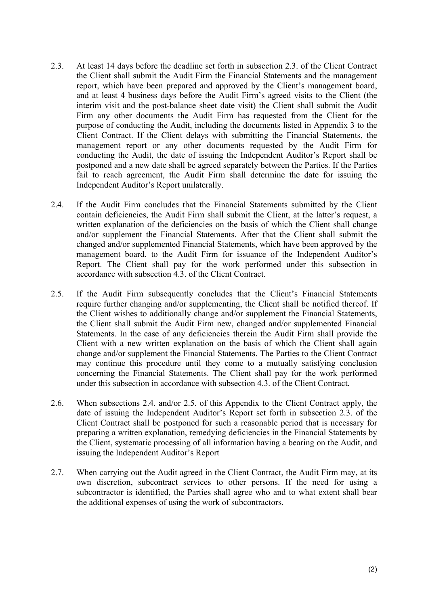- 2.3. At least 14 days before the deadline set forth in subsection 2.3. of the Client Contract the Client shall submit the Audit Firm the Financial Statements and the management report, which have been prepared and approved by the Client's management board, and at least 4 business days before the Audit Firm's agreed visits to the Client (the interim visit and the post-balance sheet date visit) the Client shall submit the Audit Firm any other documents the Audit Firm has requested from the Client for the purpose of conducting the Audit, including the documents listed in Appendix 3 to the Client Contract. If the Client delays with submitting the Financial Statements, the management report or any other documents requested by the Audit Firm for conducting the Audit, the date of issuing the Independent Auditor's Report shall be postponed and a new date shall be agreed separately between the Parties. If the Parties fail to reach agreement, the Audit Firm shall determine the date for issuing the Independent Auditor's Report unilaterally.
- 2.4. If the Audit Firm concludes that the Financial Statements submitted by the Client contain deficiencies, the Audit Firm shall submit the Client, at the latter's request, a written explanation of the deficiencies on the basis of which the Client shall change and/or supplement the Financial Statements. After that the Client shall submit the changed and/or supplemented Financial Statements, which have been approved by the management board, to the Audit Firm for issuance of the Independent Auditor's Report. The Client shall pay for the work performed under this subsection in accordance with subsection 4.3. of the Client Contract.
- 2.5. If the Audit Firm subsequently concludes that the Client's Financial Statements require further changing and/or supplementing, the Client shall be notified thereof. If the Client wishes to additionally change and/or supplement the Financial Statements, the Client shall submit the Audit Firm new, changed and/or supplemented Financial Statements. In the case of any deficiencies therein the Audit Firm shall provide the Client with a new written explanation on the basis of which the Client shall again change and/or supplement the Financial Statements. The Parties to the Client Contract may continue this procedure until they come to a mutually satisfying conclusion concerning the Financial Statements. The Client shall pay for the work performed under this subsection in accordance with subsection 4.3. of the Client Contract.
- 2.6. When subsections 2.4. and/or 2.5. of this Appendix to the Client Contract apply, the date of issuing the Independent Auditor's Report set forth in subsection 2.3. of the Client Contract shall be postponed for such a reasonable period that is necessary for preparing a written explanation, remedying deficiencies in the Financial Statements by the Client, systematic processing of all information having a bearing on the Audit, and issuing the Independent Auditor's Report
- 2.7. When carrying out the Audit agreed in the Client Contract, the Audit Firm may, at its own discretion, subcontract services to other persons. If the need for using a subcontractor is identified, the Parties shall agree who and to what extent shall bear the additional expenses of using the work of subcontractors.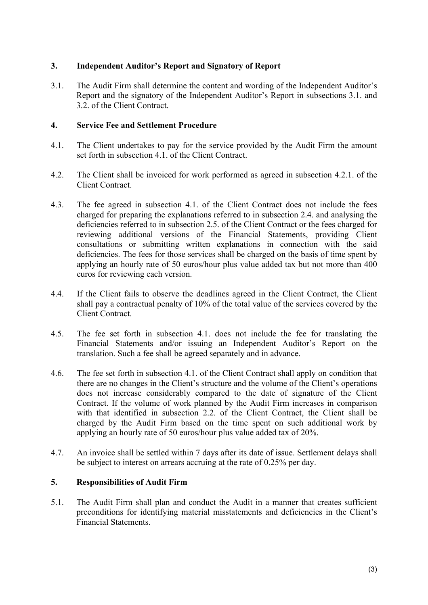# **3. Independent Auditor's Report and Signatory of Report**

3.1. The Audit Firm shall determine the content and wording of the Independent Auditor's Report and the signatory of the Independent Auditor's Report in subsections 3.1. and 3.2. of the Client Contract.

## **4. Service Fee and Settlement Procedure**

- 4.1. The Client undertakes to pay for the service provided by the Audit Firm the amount set forth in subsection 4.1. of the Client Contract.
- 4.2. The Client shall be invoiced for work performed as agreed in subsection 4.2.1. of the Client Contract.
- 4.3. The fee agreed in subsection 4.1. of the Client Contract does not include the fees charged for preparing the explanations referred to in subsection 2.4. and analysing the deficiencies referred to in subsection 2.5. of the Client Contract or the fees charged for reviewing additional versions of the Financial Statements, providing Client consultations or submitting written explanations in connection with the said deficiencies. The fees for those services shall be charged on the basis of time spent by applying an hourly rate of 50 euros/hour plus value added tax but not more than 400 euros for reviewing each version.
- 4.4. If the Client fails to observe the deadlines agreed in the Client Contract, the Client shall pay a contractual penalty of 10% of the total value of the services covered by the Client Contract.
- 4.5. The fee set forth in subsection 4.1. does not include the fee for translating the Financial Statements and/or issuing an Independent Auditor's Report on the translation. Such a fee shall be agreed separately and in advance.
- 4.6. The fee set forth in subsection 4.1. of the Client Contract shall apply on condition that there are no changes in the Client's structure and the volume of the Client's operations does not increase considerably compared to the date of signature of the Client Contract. If the volume of work planned by the Audit Firm increases in comparison with that identified in subsection 2.2. of the Client Contract, the Client shall be charged by the Audit Firm based on the time spent on such additional work by applying an hourly rate of 50 euros/hour plus value added tax of 20%.
- 4.7. An invoice shall be settled within 7 days after its date of issue. Settlement delays shall be subject to interest on arrears accruing at the rate of 0.25% per day.

## **5. Responsibilities of Audit Firm**

5.1. The Audit Firm shall plan and conduct the Audit in a manner that creates sufficient preconditions for identifying material misstatements and deficiencies in the Client's Financial Statements.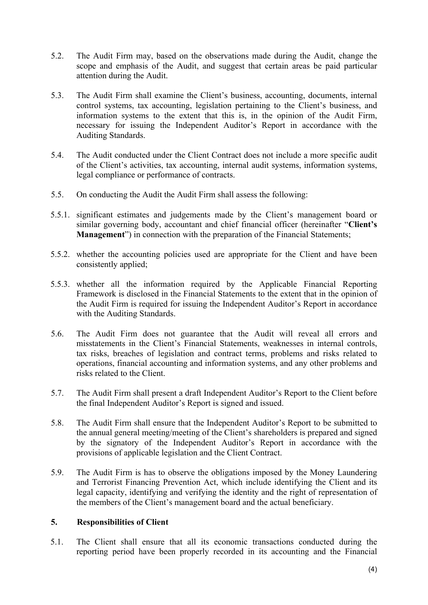- 5.2. The Audit Firm may, based on the observations made during the Audit, change the scope and emphasis of the Audit, and suggest that certain areas be paid particular attention during the Audit.
- 5.3. The Audit Firm shall examine the Client's business, accounting, documents, internal control systems, tax accounting, legislation pertaining to the Client's business, and information systems to the extent that this is, in the opinion of the Audit Firm, necessary for issuing the Independent Auditor's Report in accordance with the Auditing Standards.
- 5.4. The Audit conducted under the Client Contract does not include a more specific audit of the Client's activities, tax accounting, internal audit systems, information systems, legal compliance or performance of contracts.
- 5.5. On conducting the Audit the Audit Firm shall assess the following:
- 5.5.1. significant estimates and judgements made by the Client's management board or similar governing body, accountant and chief financial officer (hereinafter "**Client's Management**") in connection with the preparation of the Financial Statements;
- 5.5.2. whether the accounting policies used are appropriate for the Client and have been consistently applied;
- 5.5.3. whether all the information required by the Applicable Financial Reporting Framework is disclosed in the Financial Statements to the extent that in the opinion of the Audit Firm is required for issuing the Independent Auditor's Report in accordance with the Auditing Standards.
- 5.6. The Audit Firm does not guarantee that the Audit will reveal all errors and misstatements in the Client's Financial Statements, weaknesses in internal controls, tax risks, breaches of legislation and contract terms, problems and risks related to operations, financial accounting and information systems, and any other problems and risks related to the Client.
- 5.7. The Audit Firm shall present a draft Independent Auditor's Report to the Client before the final Independent Auditor's Report is signed and issued.
- 5.8. The Audit Firm shall ensure that the Independent Auditor's Report to be submitted to the annual general meeting/meeting of the Client's shareholders is prepared and signed by the signatory of the Independent Auditor's Report in accordance with the provisions of applicable legislation and the Client Contract.
- 5.9. The Audit Firm is has to observe the obligations imposed by the Money Laundering and Terrorist Financing Prevention Act, which include identifying the Client and its legal capacity, identifying and verifying the identity and the right of representation of the members of the Client's management board and the actual beneficiary.

#### **5. Responsibilities of Client**

5.1. The Client shall ensure that all its economic transactions conducted during the reporting period have been properly recorded in its accounting and the Financial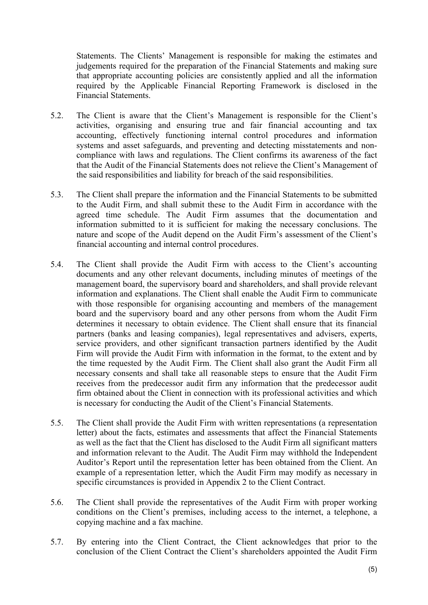Statements. The Clients' Management is responsible for making the estimates and judgements required for the preparation of the Financial Statements and making sure that appropriate accounting policies are consistently applied and all the information required by the Applicable Financial Reporting Framework is disclosed in the Financial Statements.

- 5.2. The Client is aware that the Client's Management is responsible for the Client's activities, organising and ensuring true and fair financial accounting and tax accounting, effectively functioning internal control procedures and information systems and asset safeguards, and preventing and detecting misstatements and noncompliance with laws and regulations. The Client confirms its awareness of the fact that the Audit of the Financial Statements does not relieve the Client's Management of the said responsibilities and liability for breach of the said responsibilities.
- 5.3. The Client shall prepare the information and the Financial Statements to be submitted to the Audit Firm, and shall submit these to the Audit Firm in accordance with the agreed time schedule. The Audit Firm assumes that the documentation and information submitted to it is sufficient for making the necessary conclusions. The nature and scope of the Audit depend on the Audit Firm's assessment of the Client's financial accounting and internal control procedures.
- 5.4. The Client shall provide the Audit Firm with access to the Client's accounting documents and any other relevant documents, including minutes of meetings of the management board, the supervisory board and shareholders, and shall provide relevant information and explanations. The Client shall enable the Audit Firm to communicate with those responsible for organising accounting and members of the management board and the supervisory board and any other persons from whom the Audit Firm determines it necessary to obtain evidence. The Client shall ensure that its financial partners (banks and leasing companies), legal representatives and advisers, experts, service providers, and other significant transaction partners identified by the Audit Firm will provide the Audit Firm with information in the format, to the extent and by the time requested by the Audit Firm. The Client shall also grant the Audit Firm all necessary consents and shall take all reasonable steps to ensure that the Audit Firm receives from the predecessor audit firm any information that the predecessor audit firm obtained about the Client in connection with its professional activities and which is necessary for conducting the Audit of the Client's Financial Statements.
- 5.5. The Client shall provide the Audit Firm with written representations (a representation letter) about the facts, estimates and assessments that affect the Financial Statements as well as the fact that the Client has disclosed to the Audit Firm all significant matters and information relevant to the Audit. The Audit Firm may withhold the Independent Auditor's Report until the representation letter has been obtained from the Client. An example of a representation letter, which the Audit Firm may modify as necessary in specific circumstances is provided in Appendix 2 to the Client Contract.
- 5.6. The Client shall provide the representatives of the Audit Firm with proper working conditions on the Client's premises, including access to the internet, a telephone, a copying machine and a fax machine.
- 5.7. By entering into the Client Contract, the Client acknowledges that prior to the conclusion of the Client Contract the Client's shareholders appointed the Audit Firm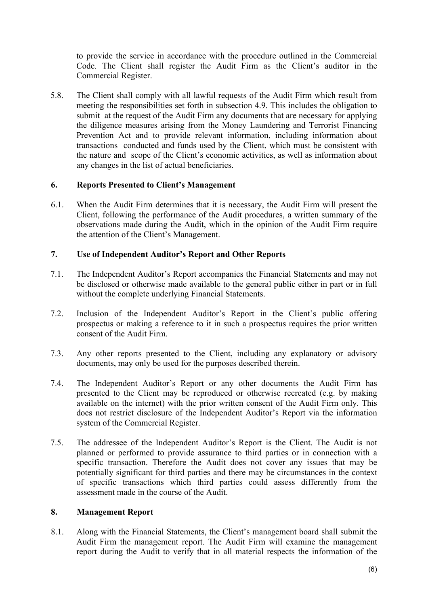to provide the service in accordance with the procedure outlined in the Commercial Code. The Client shall register the Audit Firm as the Client's auditor in the Commercial Register.

5.8. The Client shall comply with all lawful requests of the Audit Firm which result from meeting the responsibilities set forth in subsection 4.9. This includes the obligation to submit at the request of the Audit Firm any documents that are necessary for applying the diligence measures arising from the Money Laundering and Terrorist Financing Prevention Act and to provide relevant information, including information about transactions conducted and funds used by the Client, which must be consistent with the nature and scope of the Client's economic activities, as well as information about any changes in the list of actual beneficiaries.

## **6. Reports Presented to Client's Management**

6.1. When the Audit Firm determines that it is necessary, the Audit Firm will present the Client, following the performance of the Audit procedures, a written summary of the observations made during the Audit, which in the opinion of the Audit Firm require the attention of the Client's Management.

## **7. Use of Independent Auditor's Report and Other Reports**

- 7.1. The Independent Auditor's Report accompanies the Financial Statements and may not be disclosed or otherwise made available to the general public either in part or in full without the complete underlying Financial Statements.
- 7.2. Inclusion of the Independent Auditor's Report in the Client's public offering prospectus or making a reference to it in such a prospectus requires the prior written consent of the Audit Firm.
- 7.3. Any other reports presented to the Client, including any explanatory or advisory documents, may only be used for the purposes described therein.
- 7.4. The Independent Auditor's Report or any other documents the Audit Firm has presented to the Client may be reproduced or otherwise recreated (e.g. by making available on the internet) with the prior written consent of the Audit Firm only. This does not restrict disclosure of the Independent Auditor's Report via the information system of the Commercial Register.
- 7.5. The addressee of the Independent Auditor's Report is the Client. The Audit is not planned or performed to provide assurance to third parties or in connection with a specific transaction. Therefore the Audit does not cover any issues that may be potentially significant for third parties and there may be circumstances in the context of specific transactions which third parties could assess differently from the assessment made in the course of the Audit.

## **8. Management Report**

8.1. Along with the Financial Statements, the Client's management board shall submit the Audit Firm the management report. The Audit Firm will examine the management report during the Audit to verify that in all material respects the information of the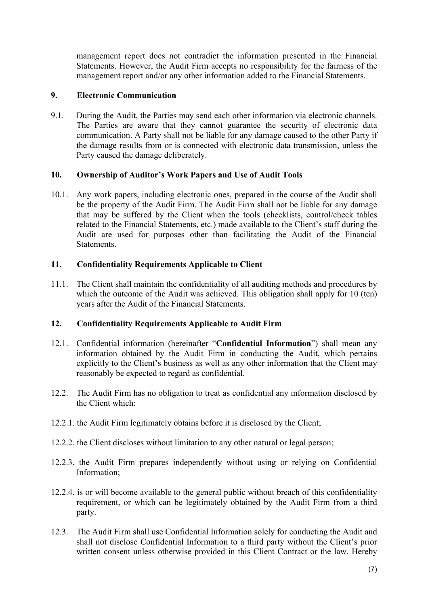management report does not contradict the information presented in the Financial Statements. However, the Audit Firm accepts no responsibility for the fairness of the management report and/or any other information added to the Financial Statements.

## **9. Electronic Communication**

9.1. During the Audit, the Parties may send each other information via electronic channels. The Parties are aware that they cannot guarantee the security of electronic data communication. A Party shall not be liable for any damage caused to the other Party if the damage results from or is connected with electronic data transmission, unless the Party caused the damage deliberately.

# **10. Ownership of Auditor's Work Papers and Use of Audit Tools**

10.1. Any work papers, including electronic ones, prepared in the course of the Audit shall be the property of the Audit Firm. The Audit Firm shall not be liable for any damage that may be suffered by the Client when the tools (checklists, control/check tables related to the Financial Statements, etc.) made available to the Client's staff during the Audit are used for purposes other than facilitating the Audit of the Financial **Statements** 

# **11. Confidentiality Requirements Applicable to Client**

11.1. The Client shall maintain the confidentiality of all auditing methods and procedures by which the outcome of the Audit was achieved. This obligation shall apply for 10 (ten) years after the Audit of the Financial Statements.

# **12. Confidentiality Requirements Applicable to Audit Firm**

- 12.1. Confidential information (hereinafter "**Confidential Information**") shall mean any information obtained by the Audit Firm in conducting the Audit, which pertains explicitly to the Client's business as well as any other information that the Client may reasonably be expected to regard as confidential.
- 12.2. The Audit Firm has no obligation to treat as confidential any information disclosed by the Client which:
- 12.2.1. the Audit Firm legitimately obtains before it is disclosed by the Client;
- 12.2.2. the Client discloses without limitation to any other natural or legal person;
- 12.2.3. the Audit Firm prepares independently without using or relying on Confidential Information;
- 12.2.4. is or will become available to the general public without breach of this confidentiality requirement, or which can be legitimately obtained by the Audit Firm from a third party.
- 12.3. The Audit Firm shall use Confidential Information solely for conducting the Audit and shall not disclose Confidential Information to a third party without the Client's prior written consent unless otherwise provided in this Client Contract or the law. Hereby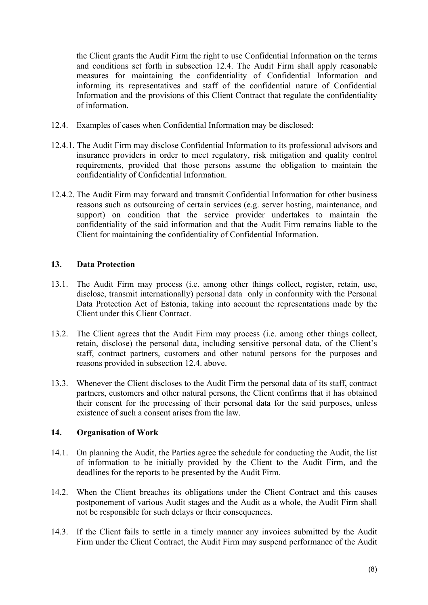the Client grants the Audit Firm the right to use Confidential Information on the terms and conditions set forth in subsection 12.4. The Audit Firm shall apply reasonable measures for maintaining the confidentiality of Confidential Information and informing its representatives and staff of the confidential nature of Confidential Information and the provisions of this Client Contract that regulate the confidentiality of information.

- 12.4. Examples of cases when Confidential Information may be disclosed:
- 12.4.1. The Audit Firm may disclose Confidential Information to its professional advisors and insurance providers in order to meet regulatory, risk mitigation and quality control requirements, provided that those persons assume the obligation to maintain the confidentiality of Confidential Information.
- 12.4.2. The Audit Firm may forward and transmit Confidential Information for other business reasons such as outsourcing of certain services (e.g. server hosting, maintenance, and support) on condition that the service provider undertakes to maintain the confidentiality of the said information and that the Audit Firm remains liable to the Client for maintaining the confidentiality of Confidential Information.

#### **13. Data Protection**

- 13.1. The Audit Firm may process (i.e. among other things collect, register, retain, use, disclose, transmit internationally) personal data only in conformity with the Personal Data Protection Act of Estonia, taking into account the representations made by the Client under this Client Contract.
- 13.2. The Client agrees that the Audit Firm may process (i.e. among other things collect, retain, disclose) the personal data, including sensitive personal data, of the Client's staff, contract partners, customers and other natural persons for the purposes and reasons provided in subsection 12.4. above.
- 13.3. Whenever the Client discloses to the Audit Firm the personal data of its staff, contract partners, customers and other natural persons, the Client confirms that it has obtained their consent for the processing of their personal data for the said purposes, unless existence of such a consent arises from the law.

#### **14. Organisation of Work**

- 14.1. On planning the Audit, the Parties agree the schedule for conducting the Audit, the list of information to be initially provided by the Client to the Audit Firm, and the deadlines for the reports to be presented by the Audit Firm.
- 14.2. When the Client breaches its obligations under the Client Contract and this causes postponement of various Audit stages and the Audit as a whole, the Audit Firm shall not be responsible for such delays or their consequences.
- 14.3. If the Client fails to settle in a timely manner any invoices submitted by the Audit Firm under the Client Contract, the Audit Firm may suspend performance of the Audit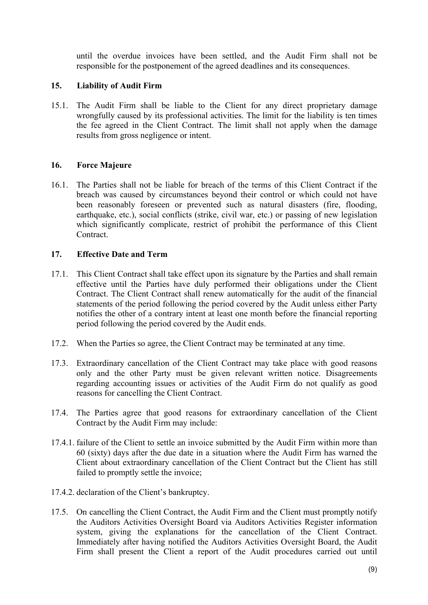until the overdue invoices have been settled, and the Audit Firm shall not be responsible for the postponement of the agreed deadlines and its consequences.

## **15. Liability of Audit Firm**

15.1. The Audit Firm shall be liable to the Client for any direct proprietary damage wrongfully caused by its professional activities. The limit for the liability is ten times the fee agreed in the Client Contract. The limit shall not apply when the damage results from gross negligence or intent.

## **16. Force Majeure**

16.1. The Parties shall not be liable for breach of the terms of this Client Contract if the breach was caused by circumstances beyond their control or which could not have been reasonably foreseen or prevented such as natural disasters (fire, flooding, earthquake, etc.), social conflicts (strike, civil war, etc.) or passing of new legislation which significantly complicate, restrict of prohibit the performance of this Client **Contract** 

#### **17. Effective Date and Term**

- 17.1. This Client Contract shall take effect upon its signature by the Parties and shall remain effective until the Parties have duly performed their obligations under the Client Contract. The Client Contract shall renew automatically for the audit of the financial statements of the period following the period covered by the Audit unless either Party notifies the other of a contrary intent at least one month before the financial reporting period following the period covered by the Audit ends.
- 17.2. When the Parties so agree, the Client Contract may be terminated at any time.
- 17.3. Extraordinary cancellation of the Client Contract may take place with good reasons only and the other Party must be given relevant written notice. Disagreements regarding accounting issues or activities of the Audit Firm do not qualify as good reasons for cancelling the Client Contract.
- 17.4. The Parties agree that good reasons for extraordinary cancellation of the Client Contract by the Audit Firm may include:
- 17.4.1. failure of the Client to settle an invoice submitted by the Audit Firm within more than 60 (sixty) days after the due date in a situation where the Audit Firm has warned the Client about extraordinary cancellation of the Client Contract but the Client has still failed to promptly settle the invoice;
- 17.4.2. declaration of the Client's bankruptcy.
- 17.5. On cancelling the Client Contract, the Audit Firm and the Client must promptly notify the Auditors Activities Oversight Board via Auditors Activities Register information system, giving the explanations for the cancellation of the Client Contract. Immediately after having notified the Auditors Activities Oversight Board, the Audit Firm shall present the Client a report of the Audit procedures carried out until